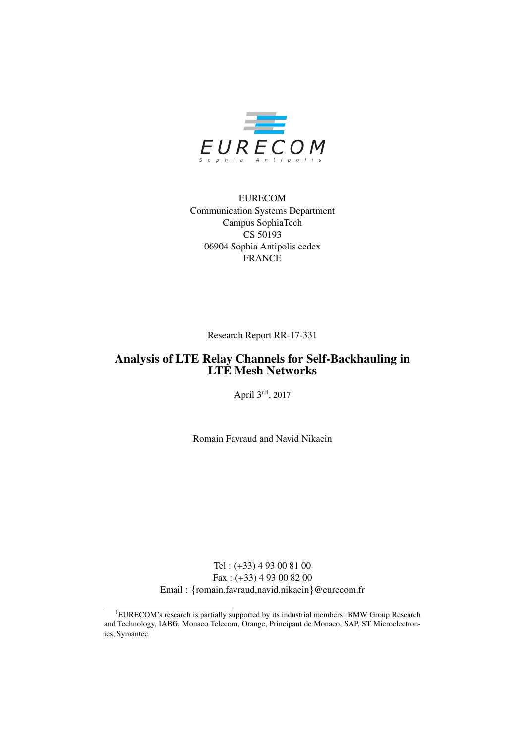

EURECOM Communication Systems Department Campus SophiaTech CS 50193 06904 Sophia Antipolis cedex FRANCE

Research Report RR-17-331

### Analysis of LTE Relay Channels for Self-Backhauling in LTE Mesh Networks

April 3rd, 2017

Romain Favraud and Navid Nikaein

Tel : (+33) 4 93 00 81 00 Fax : (+33) 4 93 00 82 00 Email : {romain.favraud,navid.nikaein}@eurecom.fr

<sup>&</sup>lt;sup>1</sup>EURECOM's research is partially supported by its industrial members: BMW Group Research and Technology, IABG, Monaco Telecom, Orange, Principaut de Monaco, SAP, ST Microelectronics, Symantec.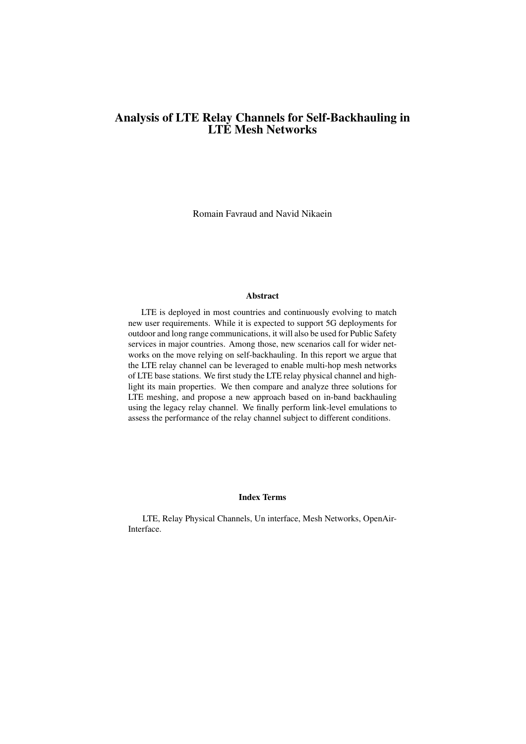### Analysis of LTE Relay Channels for Self-Backhauling in LTE Mesh Networks

Romain Favraud and Navid Nikaein

### Abstract

LTE is deployed in most countries and continuously evolving to match new user requirements. While it is expected to support 5G deployments for outdoor and long range communications, it will also be used for Public Safety services in major countries. Among those, new scenarios call for wider networks on the move relying on self-backhauling. In this report we argue that the LTE relay channel can be leveraged to enable multi-hop mesh networks of LTE base stations. We first study the LTE relay physical channel and highlight its main properties. We then compare and analyze three solutions for LTE meshing, and propose a new approach based on in-band backhauling using the legacy relay channel. We finally perform link-level emulations to assess the performance of the relay channel subject to different conditions.

#### Index Terms

LTE, Relay Physical Channels, Un interface, Mesh Networks, OpenAir-Interface.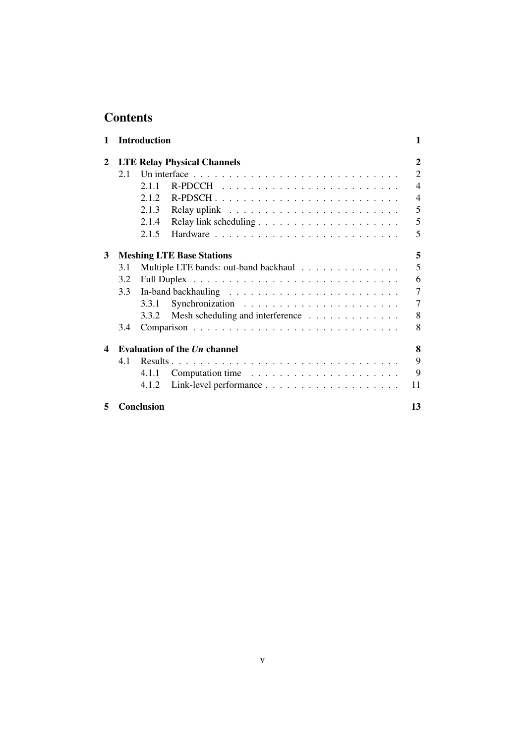## **Contents**

| 1 |                                          | <b>Introduction</b>                       | 1              |  |  |  |  |
|---|------------------------------------------|-------------------------------------------|----------------|--|--|--|--|
| 2 | <b>LTE Relay Physical Channels</b>       |                                           |                |  |  |  |  |
|   | 2.1                                      |                                           | $\overline{2}$ |  |  |  |  |
|   |                                          | 2.11                                      | 4              |  |  |  |  |
|   |                                          | 2.1.2                                     | 4              |  |  |  |  |
|   |                                          | 2.1.3                                     | 5              |  |  |  |  |
|   |                                          | 2.1.4                                     | 5              |  |  |  |  |
|   |                                          | 2.1.5                                     | 5              |  |  |  |  |
| 3 | 5<br><b>Meshing LTE Base Stations</b>    |                                           |                |  |  |  |  |
|   | 3.1                                      | Multiple LTE bands: out-band backhaul     | 5              |  |  |  |  |
|   | 3.2                                      |                                           | 6              |  |  |  |  |
|   | 3.3                                      |                                           |                |  |  |  |  |
|   |                                          | 3.3.1                                     | 7              |  |  |  |  |
|   |                                          | Mesh scheduling and interference<br>3.3.2 | 8              |  |  |  |  |
|   | 3.4                                      | Comparison                                | 8              |  |  |  |  |
| 4 | <b>Evaluation of the Un channel</b><br>8 |                                           |                |  |  |  |  |
|   | 4.1                                      |                                           | 9              |  |  |  |  |
|   |                                          | 4.1.1                                     | 9              |  |  |  |  |
|   |                                          | 4.1.2                                     | 11             |  |  |  |  |
| 5 |                                          | <b>Conclusion</b>                         | 13             |  |  |  |  |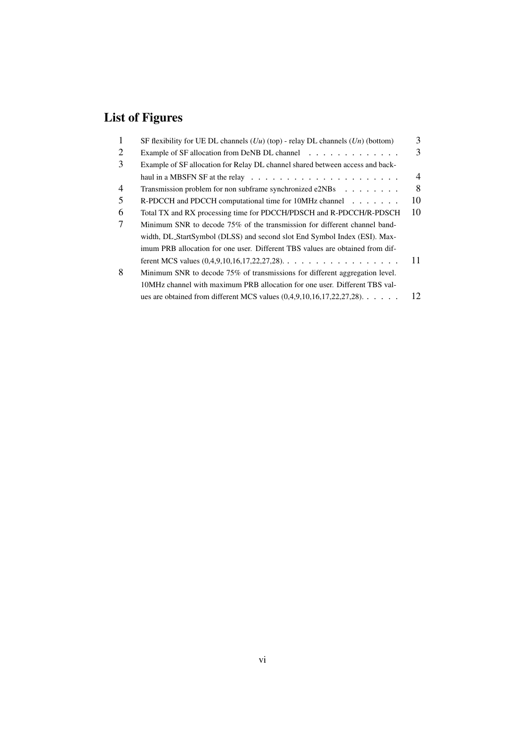# List of Figures

| $\mathbf{1}$   | SF flexibility for UE DL channels $(Uu)$ (top) - relay DL channels $(Un)$ (bottom) |                 |  |  |  |
|----------------|------------------------------------------------------------------------------------|-----------------|--|--|--|
| 2              |                                                                                    |                 |  |  |  |
| 3              | Example of SF allocation for Relay DL channel shared between access and back-      |                 |  |  |  |
|                |                                                                                    | 4               |  |  |  |
| $\overline{4}$ | Transmission problem for non subframe synchronized $e2NBs$                         | 8               |  |  |  |
| 5              | 10<br>R-PDCCH and PDCCH computational time for 10MHz channel                       |                 |  |  |  |
| 6              | Total TX and RX processing time for PDCCH/PDSCH and R-PDCCH/R-PDSCH                | 10              |  |  |  |
| 7              | Minimum SNR to decode 75% of the transmission for different channel band-          |                 |  |  |  |
|                | width, DL_StartSymbol (DLSS) and second slot End Symbol Index (ESI). Max-          |                 |  |  |  |
|                | imum PRB allocation for one user. Different TBS values are obtained from dif-      |                 |  |  |  |
|                |                                                                                    | 11              |  |  |  |
| 8              | Minimum SNR to decode 75% of transmissions for different aggregation level.        |                 |  |  |  |
|                | 10MHz channel with maximum PRB allocation for one user. Different TBS val-         |                 |  |  |  |
|                | ues are obtained from different MCS values $(0.4.9.10.16.17.22.27.28)$             | 12 <sub>1</sub> |  |  |  |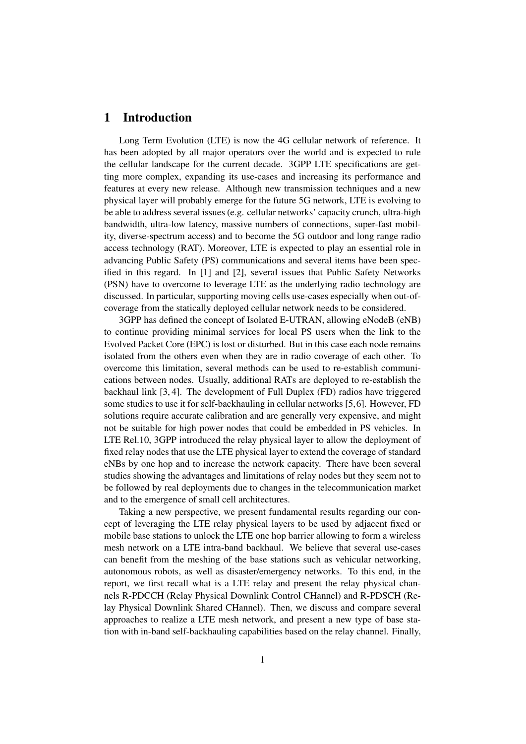### 1 Introduction

Long Term Evolution (LTE) is now the 4G cellular network of reference. It has been adopted by all major operators over the world and is expected to rule the cellular landscape for the current decade. 3GPP LTE specifications are getting more complex, expanding its use-cases and increasing its performance and features at every new release. Although new transmission techniques and a new physical layer will probably emerge for the future 5G network, LTE is evolving to be able to address several issues (e.g. cellular networks' capacity crunch, ultra-high bandwidth, ultra-low latency, massive numbers of connections, super-fast mobility, diverse-spectrum access) and to become the 5G outdoor and long range radio access technology (RAT). Moreover, LTE is expected to play an essential role in advancing Public Safety (PS) communications and several items have been specified in this regard. In [1] and [2], several issues that Public Safety Networks (PSN) have to overcome to leverage LTE as the underlying radio technology are discussed. In particular, supporting moving cells use-cases especially when out-ofcoverage from the statically deployed cellular network needs to be considered.

3GPP has defined the concept of Isolated E-UTRAN, allowing eNodeB (eNB) to continue providing minimal services for local PS users when the link to the Evolved Packet Core (EPC) is lost or disturbed. But in this case each node remains isolated from the others even when they are in radio coverage of each other. To overcome this limitation, several methods can be used to re-establish communications between nodes. Usually, additional RATs are deployed to re-establish the backhaul link [3, 4]. The development of Full Duplex (FD) radios have triggered some studies to use it for self-backhauling in cellular networks [5,6]. However, FD solutions require accurate calibration and are generally very expensive, and might not be suitable for high power nodes that could be embedded in PS vehicles. In LTE Rel.10, 3GPP introduced the relay physical layer to allow the deployment of fixed relay nodes that use the LTE physical layer to extend the coverage of standard eNBs by one hop and to increase the network capacity. There have been several studies showing the advantages and limitations of relay nodes but they seem not to be followed by real deployments due to changes in the telecommunication market and to the emergence of small cell architectures.

Taking a new perspective, we present fundamental results regarding our concept of leveraging the LTE relay physical layers to be used by adjacent fixed or mobile base stations to unlock the LTE one hop barrier allowing to form a wireless mesh network on a LTE intra-band backhaul. We believe that several use-cases can benefit from the meshing of the base stations such as vehicular networking, autonomous robots, as well as disaster/emergency networks. To this end, in the report, we first recall what is a LTE relay and present the relay physical channels R-PDCCH (Relay Physical Downlink Control CHannel) and R-PDSCH (Relay Physical Downlink Shared CHannel). Then, we discuss and compare several approaches to realize a LTE mesh network, and present a new type of base station with in-band self-backhauling capabilities based on the relay channel. Finally,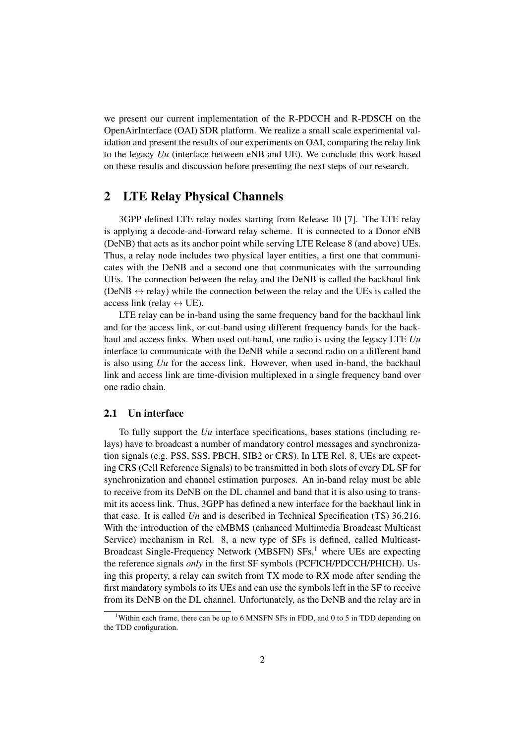we present our current implementation of the R-PDCCH and R-PDSCH on the OpenAirInterface (OAI) SDR platform. We realize a small scale experimental validation and present the results of our experiments on OAI, comparing the relay link to the legacy *Uu* (interface between eNB and UE). We conclude this work based on these results and discussion before presenting the next steps of our research.

### 2 LTE Relay Physical Channels

3GPP defined LTE relay nodes starting from Release 10 [7]. The LTE relay is applying a decode-and-forward relay scheme. It is connected to a Donor eNB (DeNB) that acts as its anchor point while serving LTE Release 8 (and above) UEs. Thus, a relay node includes two physical layer entities, a first one that communicates with the DeNB and a second one that communicates with the surrounding UEs. The connection between the relay and the DeNB is called the backhaul link (DeNB  $\leftrightarrow$  relay) while the connection between the relay and the UEs is called the access link (relay  $\leftrightarrow$  UE).

LTE relay can be in-band using the same frequency band for the backhaul link and for the access link, or out-band using different frequency bands for the backhaul and access links. When used out-band, one radio is using the legacy LTE *Uu* interface to communicate with the DeNB while a second radio on a different band is also using *Uu* for the access link. However, when used in-band, the backhaul link and access link are time-division multiplexed in a single frequency band over one radio chain.

### 2.1 Un interface

To fully support the *Uu* interface specifications, bases stations (including relays) have to broadcast a number of mandatory control messages and synchronization signals (e.g. PSS, SSS, PBCH, SIB2 or CRS). In LTE Rel. 8, UEs are expecting CRS (Cell Reference Signals) to be transmitted in both slots of every DL SF for synchronization and channel estimation purposes. An in-band relay must be able to receive from its DeNB on the DL channel and band that it is also using to transmit its access link. Thus, 3GPP has defined a new interface for the backhaul link in that case. It is called *Un* and is described in Technical Specification (TS) 36.216. With the introduction of the eMBMS (enhanced Multimedia Broadcast Multicast Service) mechanism in Rel. 8, a new type of SFs is defined, called Multicast-Broadcast Single-Frequency Network (MBSFN) SFs,<sup>1</sup> where UEs are expecting the reference signals *only* in the first SF symbols (PCFICH/PDCCH/PHICH). Using this property, a relay can switch from TX mode to RX mode after sending the first mandatory symbols to its UEs and can use the symbols left in the SF to receive from its DeNB on the DL channel. Unfortunately, as the DeNB and the relay are in

<sup>&</sup>lt;sup>1</sup>Within each frame, there can be up to 6 MNSFN SFs in FDD, and 0 to 5 in TDD depending on the TDD configuration.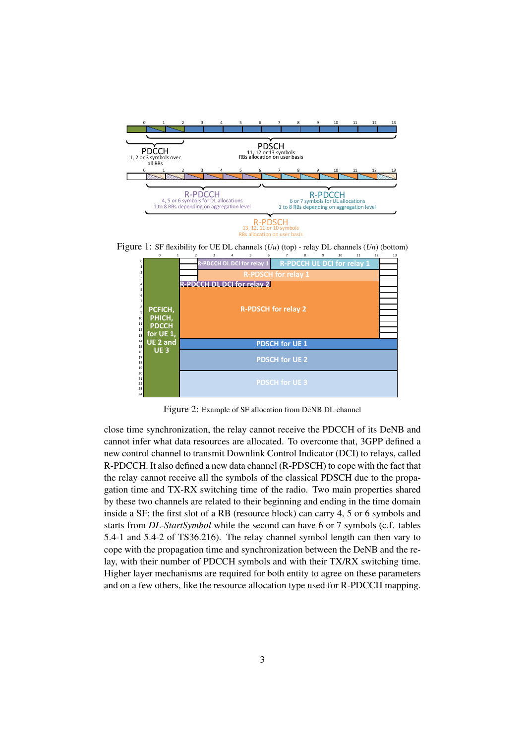

Figure 1: SF flexibility for UE DL channels (*Uu*) (top) - relay DL channels (*Un*) (bottom)



Figure 2: Example of SF allocation from DeNB DL channel

close time synchronization, the relay cannot receive the PDCCH of its DeNB and cannot infer what data resources are allocated. To overcome that, 3GPP defined a new control channel to transmit Downlink Control Indicator (DCI) to relays, called R-PDCCH. It also defined a new data channel (R-PDSCH) to cope with the fact that the relay cannot receive all the symbols of the classical PDSCH due to the propagation time and TX-RX switching time of the radio. Two main properties shared by these two channels are related to their beginning and ending in the time domain inside a SF: the first slot of a RB (resource block) can carry 4, 5 or 6 symbols and starts from *DL-StartSymbol* while the second can have 6 or 7 symbols (c.f. tables 5.4-1 and 5.4-2 of TS36.216). The relay channel symbol length can then vary to cope with the propagation time and synchronization between the DeNB and the relay, with their number of PDCCH symbols and with their TX/RX switching time. Higher layer mechanisms are required for both entity to agree on these parameters and on a few others, like the resource allocation type used for R-PDCCH mapping.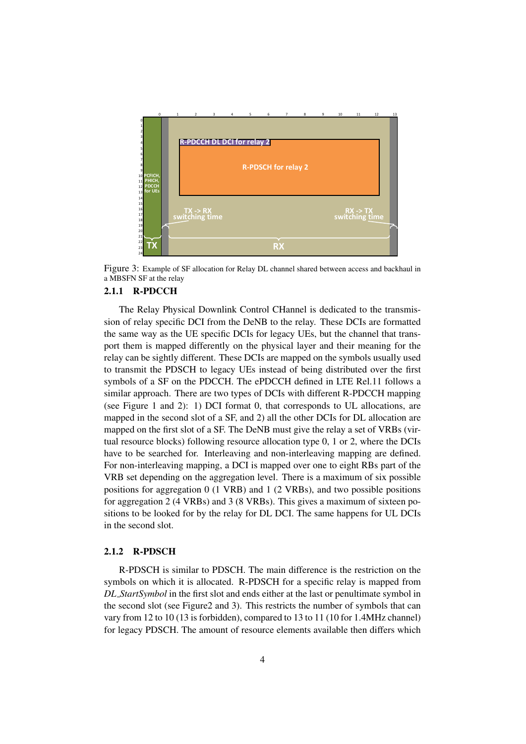

Figure 3: Example of SF allocation for Relay DL channel shared between access and backhaul in a MBSFN SF at the relay

### 2.1.1 R-PDCCH

The Relay Physical Downlink Control CHannel is dedicated to the transmission of relay specific DCI from the DeNB to the relay. These DCIs are formatted the same way as the UE specific DCIs for legacy UEs, but the channel that transport them is mapped differently on the physical layer and their meaning for the relay can be sightly different. These DCIs are mapped on the symbols usually used to transmit the PDSCH to legacy UEs instead of being distributed over the first symbols of a SF on the PDCCH. The ePDCCH defined in LTE Rel.11 follows a similar approach. There are two types of DCIs with different R-PDCCH mapping (see Figure 1 and 2): 1) DCI format 0, that corresponds to UL allocations, are mapped in the second slot of a SF, and 2) all the other DCIs for DL allocation are mapped on the first slot of a SF. The DeNB must give the relay a set of VRBs (virtual resource blocks) following resource allocation type 0, 1 or 2, where the DCIs have to be searched for. Interleaving and non-interleaving mapping are defined. For non-interleaving mapping, a DCI is mapped over one to eight RBs part of the VRB set depending on the aggregation level. There is a maximum of six possible positions for aggregation 0 (1 VRB) and 1 (2 VRBs), and two possible positions for aggregation 2 (4 VRBs) and 3 (8 VRBs). This gives a maximum of sixteen positions to be looked for by the relay for DL DCI. The same happens for UL DCIs in the second slot.

### 2.1.2 R-PDSCH

R-PDSCH is similar to PDSCH. The main difference is the restriction on the symbols on which it is allocated. R-PDSCH for a specific relay is mapped from *DL StartSymbol* in the first slot and ends either at the last or penultimate symbol in the second slot (see Figure2 and 3). This restricts the number of symbols that can vary from 12 to 10 (13 is forbidden), compared to 13 to 11 (10 for 1.4MHz channel) for legacy PDSCH. The amount of resource elements available then differs which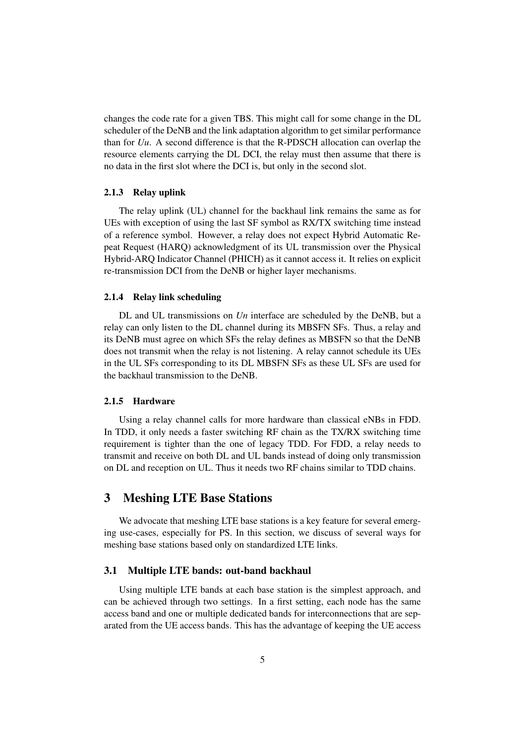changes the code rate for a given TBS. This might call for some change in the DL scheduler of the DeNB and the link adaptation algorithm to get similar performance than for *Uu*. A second difference is that the R-PDSCH allocation can overlap the resource elements carrying the DL DCI, the relay must then assume that there is no data in the first slot where the DCI is, but only in the second slot.

### 2.1.3 Relay uplink

The relay uplink (UL) channel for the backhaul link remains the same as for UEs with exception of using the last SF symbol as RX/TX switching time instead of a reference symbol. However, a relay does not expect Hybrid Automatic Repeat Request (HARQ) acknowledgment of its UL transmission over the Physical Hybrid-ARQ Indicator Channel (PHICH) as it cannot access it. It relies on explicit re-transmission DCI from the DeNB or higher layer mechanisms.

#### 2.1.4 Relay link scheduling

DL and UL transmissions on *Un* interface are scheduled by the DeNB, but a relay can only listen to the DL channel during its MBSFN SFs. Thus, a relay and its DeNB must agree on which SFs the relay defines as MBSFN so that the DeNB does not transmit when the relay is not listening. A relay cannot schedule its UEs in the UL SFs corresponding to its DL MBSFN SFs as these UL SFs are used for the backhaul transmission to the DeNB.

### 2.1.5 Hardware

Using a relay channel calls for more hardware than classical eNBs in FDD. In TDD, it only needs a faster switching RF chain as the TX/RX switching time requirement is tighter than the one of legacy TDD. For FDD, a relay needs to transmit and receive on both DL and UL bands instead of doing only transmission on DL and reception on UL. Thus it needs two RF chains similar to TDD chains.

### 3 Meshing LTE Base Stations

We advocate that meshing LTE base stations is a key feature for several emerging use-cases, especially for PS. In this section, we discuss of several ways for meshing base stations based only on standardized LTE links.

### 3.1 Multiple LTE bands: out-band backhaul

Using multiple LTE bands at each base station is the simplest approach, and can be achieved through two settings. In a first setting, each node has the same access band and one or multiple dedicated bands for interconnections that are separated from the UE access bands. This has the advantage of keeping the UE access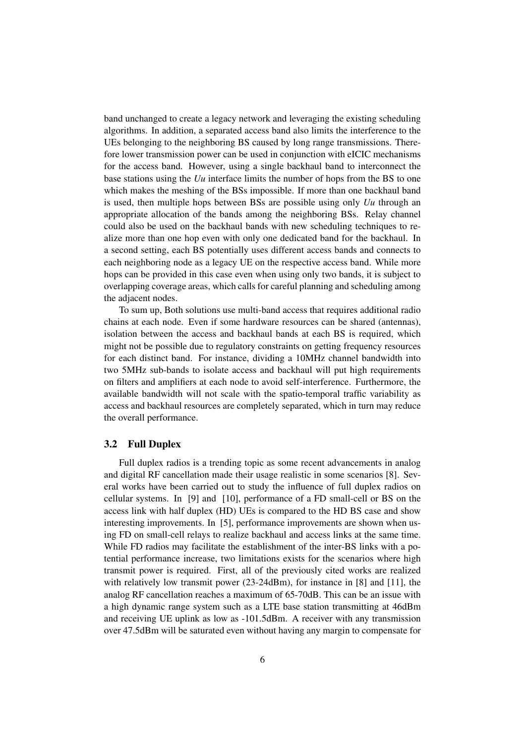band unchanged to create a legacy network and leveraging the existing scheduling algorithms. In addition, a separated access band also limits the interference to the UEs belonging to the neighboring BS caused by long range transmissions. Therefore lower transmission power can be used in conjunction with eICIC mechanisms for the access band. However, using a single backhaul band to interconnect the base stations using the *Uu* interface limits the number of hops from the BS to one which makes the meshing of the BSs impossible. If more than one backhaul band is used, then multiple hops between BSs are possible using only *Uu* through an appropriate allocation of the bands among the neighboring BSs. Relay channel could also be used on the backhaul bands with new scheduling techniques to realize more than one hop even with only one dedicated band for the backhaul. In a second setting, each BS potentially uses different access bands and connects to each neighboring node as a legacy UE on the respective access band. While more hops can be provided in this case even when using only two bands, it is subject to overlapping coverage areas, which calls for careful planning and scheduling among the adjacent nodes.

To sum up, Both solutions use multi-band access that requires additional radio chains at each node. Even if some hardware resources can be shared (antennas), isolation between the access and backhaul bands at each BS is required, which might not be possible due to regulatory constraints on getting frequency resources for each distinct band. For instance, dividing a 10MHz channel bandwidth into two 5MHz sub-bands to isolate access and backhaul will put high requirements on filters and amplifiers at each node to avoid self-interference. Furthermore, the available bandwidth will not scale with the spatio-temporal traffic variability as access and backhaul resources are completely separated, which in turn may reduce the overall performance.

### 3.2 Full Duplex

Full duplex radios is a trending topic as some recent advancements in analog and digital RF cancellation made their usage realistic in some scenarios [8]. Several works have been carried out to study the influence of full duplex radios on cellular systems. In [9] and [10], performance of a FD small-cell or BS on the access link with half duplex (HD) UEs is compared to the HD BS case and show interesting improvements. In [5], performance improvements are shown when using FD on small-cell relays to realize backhaul and access links at the same time. While FD radios may facilitate the establishment of the inter-BS links with a potential performance increase, two limitations exists for the scenarios where high transmit power is required. First, all of the previously cited works are realized with relatively low transmit power (23-24dBm), for instance in [8] and [11], the analog RF cancellation reaches a maximum of 65-70dB. This can be an issue with a high dynamic range system such as a LTE base station transmitting at 46dBm and receiving UE uplink as low as -101.5dBm. A receiver with any transmission over 47.5dBm will be saturated even without having any margin to compensate for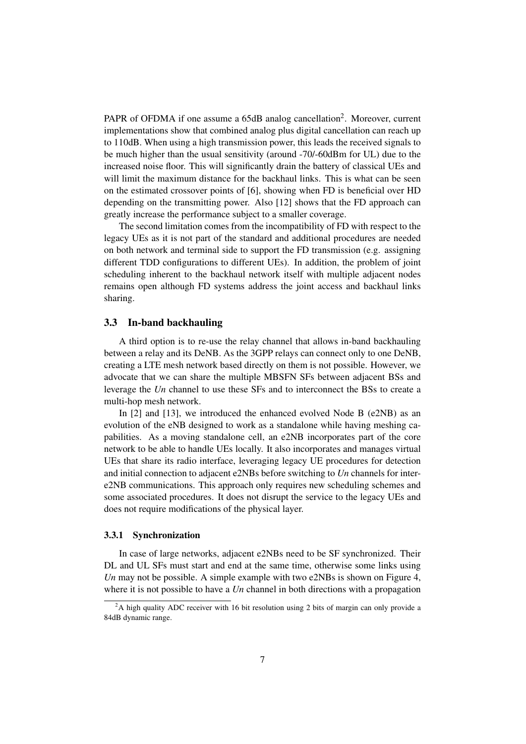PAPR of OFDMA if one assume a 65dB analog cancellation<sup>2</sup>. Moreover, current implementations show that combined analog plus digital cancellation can reach up to 110dB. When using a high transmission power, this leads the received signals to be much higher than the usual sensitivity (around -70/-60dBm for UL) due to the increased noise floor. This will significantly drain the battery of classical UEs and will limit the maximum distance for the backhaul links. This is what can be seen on the estimated crossover points of [6], showing when FD is beneficial over HD depending on the transmitting power. Also [12] shows that the FD approach can greatly increase the performance subject to a smaller coverage.

The second limitation comes from the incompatibility of FD with respect to the legacy UEs as it is not part of the standard and additional procedures are needed on both network and terminal side to support the FD transmission (e.g. assigning different TDD configurations to different UEs). In addition, the problem of joint scheduling inherent to the backhaul network itself with multiple adjacent nodes remains open although FD systems address the joint access and backhaul links sharing.

### 3.3 In-band backhauling

A third option is to re-use the relay channel that allows in-band backhauling between a relay and its DeNB. As the 3GPP relays can connect only to one DeNB, creating a LTE mesh network based directly on them is not possible. However, we advocate that we can share the multiple MBSFN SFs between adjacent BSs and leverage the *Un* channel to use these SFs and to interconnect the BSs to create a multi-hop mesh network.

In [2] and [13], we introduced the enhanced evolved Node B (e2NB) as an evolution of the eNB designed to work as a standalone while having meshing capabilities. As a moving standalone cell, an e2NB incorporates part of the core network to be able to handle UEs locally. It also incorporates and manages virtual UEs that share its radio interface, leveraging legacy UE procedures for detection and initial connection to adjacent e2NBs before switching to *Un* channels for intere2NB communications. This approach only requires new scheduling schemes and some associated procedures. It does not disrupt the service to the legacy UEs and does not require modifications of the physical layer.

#### 3.3.1 Synchronization

In case of large networks, adjacent e2NBs need to be SF synchronized. Their DL and UL SFs must start and end at the same time, otherwise some links using *Un* may not be possible. A simple example with two e2NBs is shown on Figure 4, where it is not possible to have a *Un* channel in both directions with a propagation

 ${}^{2}$ A high quality ADC receiver with 16 bit resolution using 2 bits of margin can only provide a 84dB dynamic range.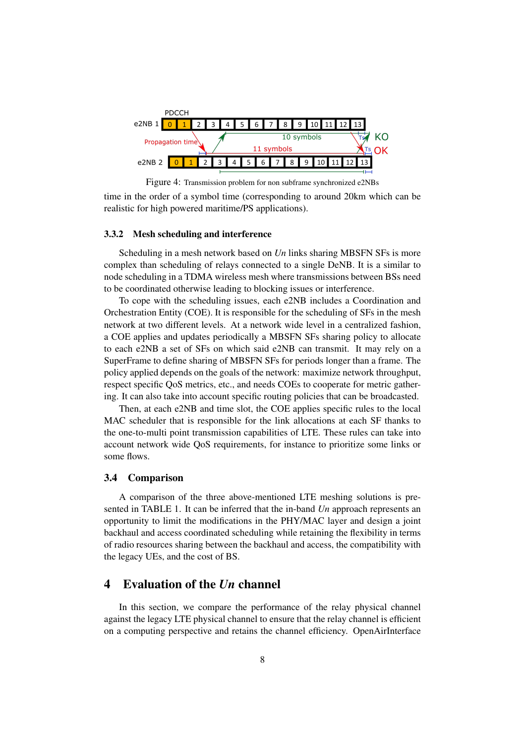

Figure 4: Transmission problem for non subframe synchronized e2NBs

time in the order of a symbol time (corresponding to around 20km which can be realistic for high powered maritime/PS applications).

#### 3.3.2 Mesh scheduling and interference

Scheduling in a mesh network based on *Un* links sharing MBSFN SFs is more complex than scheduling of relays connected to a single DeNB. It is a similar to node scheduling in a TDMA wireless mesh where transmissions between BSs need to be coordinated otherwise leading to blocking issues or interference.

To cope with the scheduling issues, each e2NB includes a Coordination and Orchestration Entity (COE). It is responsible for the scheduling of SFs in the mesh network at two different levels. At a network wide level in a centralized fashion, a COE applies and updates periodically a MBSFN SFs sharing policy to allocate to each e2NB a set of SFs on which said e2NB can transmit. It may rely on a SuperFrame to define sharing of MBSFN SFs for periods longer than a frame. The policy applied depends on the goals of the network: maximize network throughput, respect specific QoS metrics, etc., and needs COEs to cooperate for metric gathering. It can also take into account specific routing policies that can be broadcasted.

Then, at each e2NB and time slot, the COE applies specific rules to the local MAC scheduler that is responsible for the link allocations at each SF thanks to the one-to-multi point transmission capabilities of LTE. These rules can take into account network wide QoS requirements, for instance to prioritize some links or some flows.

#### 3.4 Comparison

A comparison of the three above-mentioned LTE meshing solutions is presented in TABLE 1. It can be inferred that the in-band *Un* approach represents an opportunity to limit the modifications in the PHY/MAC layer and design a joint backhaul and access coordinated scheduling while retaining the flexibility in terms of radio resources sharing between the backhaul and access, the compatibility with the legacy UEs, and the cost of BS.

### 4 Evaluation of the *Un* channel

In this section, we compare the performance of the relay physical channel against the legacy LTE physical channel to ensure that the relay channel is efficient on a computing perspective and retains the channel efficiency. OpenAirInterface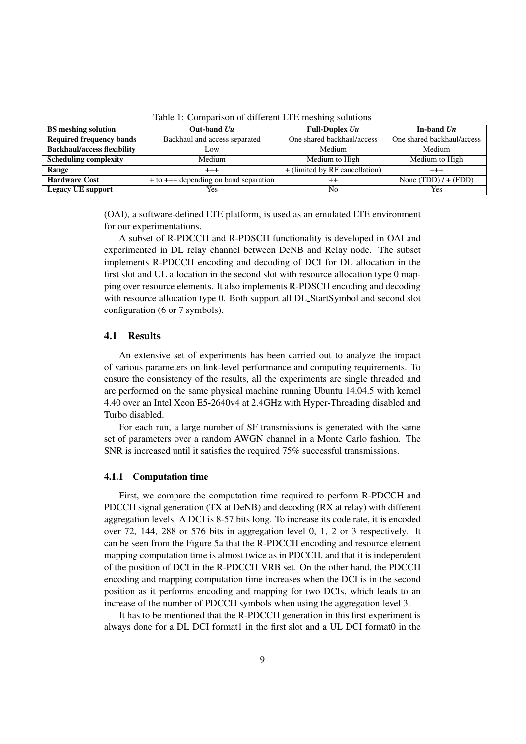| <b>BS</b> meshing solution         | Out-band $Uu$                         | <b>Full-Duplex Uu</b>          | In-band $Un$               |
|------------------------------------|---------------------------------------|--------------------------------|----------------------------|
| <b>Required frequency bands</b>    | Backhaul and access separated         | One shared backhaul/access     | One shared backhaul/access |
| <b>Backhaul/access flexibility</b> | L <sub>ow</sub>                       | Medium                         | Medium                     |
| <b>Scheduling complexity</b>       | Medium                                | Medium to High                 | Medium to High             |
| Range                              | $^{+++}$                              | + (limited by RF cancellation) | $^{+++}$                   |
| <b>Hardware Cost</b>               | + to +++ depending on band separation | $^{++}$                        | None $(TDD)$ / + $(FDD)$   |
| <b>Legacy UE support</b>           | Yes                                   | No                             | Yes                        |

Table 1: Comparison of different LTE meshing solutions

(OAI), a software-defined LTE platform, is used as an emulated LTE environment for our experimentations.

A subset of R-PDCCH and R-PDSCH functionality is developed in OAI and experimented in DL relay channel between DeNB and Relay node. The subset implements R-PDCCH encoding and decoding of DCI for DL allocation in the first slot and UL allocation in the second slot with resource allocation type 0 mapping over resource elements. It also implements R-PDSCH encoding and decoding with resource allocation type 0. Both support all DL\_StartSymbol and second slot configuration (6 or 7 symbols).

#### 4.1 Results

An extensive set of experiments has been carried out to analyze the impact of various parameters on link-level performance and computing requirements. To ensure the consistency of the results, all the experiments are single threaded and are performed on the same physical machine running Ubuntu 14.04.5 with kernel 4.40 over an Intel Xeon E5-2640v4 at 2.4GHz with Hyper-Threading disabled and Turbo disabled.

For each run, a large number of SF transmissions is generated with the same set of parameters over a random AWGN channel in a Monte Carlo fashion. The SNR is increased until it satisfies the required 75% successful transmissions.

### 4.1.1 Computation time

First, we compare the computation time required to perform R-PDCCH and PDCCH signal generation (TX at DeNB) and decoding (RX at relay) with different aggregation levels. A DCI is 8-57 bits long. To increase its code rate, it is encoded over 72, 144, 288 or 576 bits in aggregation level 0, 1, 2 or 3 respectively. It can be seen from the Figure 5a that the R-PDCCH encoding and resource element mapping computation time is almost twice as in PDCCH, and that it is independent of the position of DCI in the R-PDCCH VRB set. On the other hand, the PDCCH encoding and mapping computation time increases when the DCI is in the second position as it performs encoding and mapping for two DCIs, which leads to an increase of the number of PDCCH symbols when using the aggregation level 3.

It has to be mentioned that the R-PDCCH generation in this first experiment is always done for a DL DCI format1 in the first slot and a UL DCI format0 in the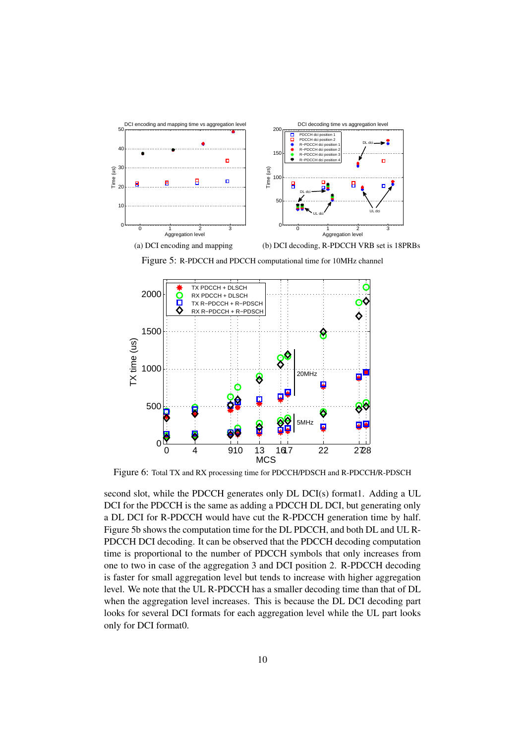

Figure 6: Total TX and RX processing time for PDCCH/PDSCH and R-PDCCH/R-PDSCH

second slot, while the PDCCH generates only DL DCI(s) format1. Adding a UL DCI for the PDCCH is the same as adding a PDCCH DL DCI, but generating only a DL DCI for R-PDCCH would have cut the R-PDCCH generation time by half. Figure 5b shows the computation time for the DL PDCCH, and both DL and UL R-PDCCH DCI decoding. It can be observed that the PDCCH decoding computation time is proportional to the number of PDCCH symbols that only increases from one to two in case of the aggregation 3 and DCI position 2. R-PDCCH decoding is faster for small aggregation level but tends to increase with higher aggregation level. We note that the UL R-PDCCH has a smaller decoding time than that of DL when the aggregation level increases. This is because the DL DCI decoding part looks for several DCI formats for each aggregation level while the UL part looks only for DCI format0.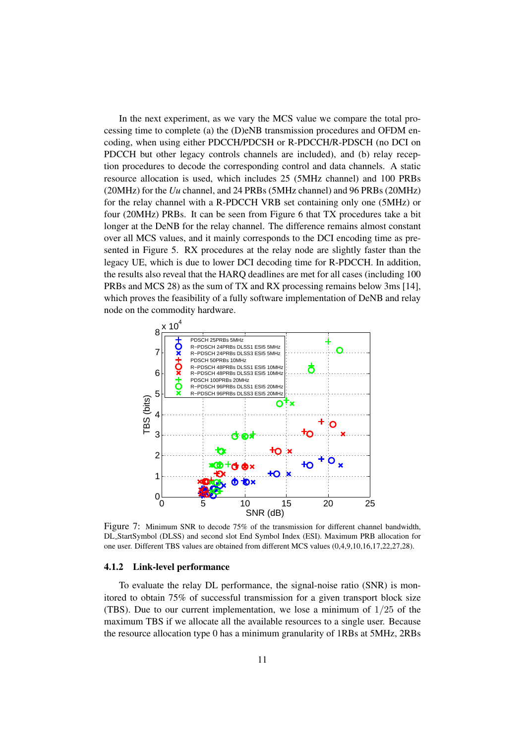In the next experiment, as we vary the MCS value we compare the total processing time to complete (a) the (D)eNB transmission procedures and OFDM encoding, when using either PDCCH/PDCSH or R-PDCCH/R-PDSCH (no DCI on PDCCH but other legacy controls channels are included), and (b) relay reception procedures to decode the corresponding control and data channels. A static resource allocation is used, which includes 25 (5MHz channel) and 100 PRBs (20MHz) for the *Uu* channel, and 24 PRBs (5MHz channel) and 96 PRBs (20MHz) for the relay channel with a R-PDCCH VRB set containing only one (5MHz) or four (20MHz) PRBs. It can be seen from Figure 6 that TX procedures take a bit longer at the DeNB for the relay channel. The difference remains almost constant over all MCS values, and it mainly corresponds to the DCI encoding time as presented in Figure 5. RX procedures at the relay node are slightly faster than the legacy UE, which is due to lower DCI decoding time for R-PDCCH. In addition, the results also reveal that the HARQ deadlines are met for all cases (including 100 PRBs and MCS 28) as the sum of TX and RX processing remains below 3ms [14], which proves the feasibility of a fully software implementation of DeNB and relay node on the commodity hardware.



Figure 7: Minimum SNR to decode 75% of the transmission for different channel bandwidth, DL StartSymbol (DLSS) and second slot End Symbol Index (ESI). Maximum PRB allocation for one user. Different TBS values are obtained from different MCS values (0,4,9,10,16,17,22,27,28).

#### 4.1.2 Link-level performance

To evaluate the relay DL performance, the signal-noise ratio (SNR) is monitored to obtain 75% of successful transmission for a given transport block size (TBS). Due to our current implementation, we lose a minimum of  $1/25$  of the maximum TBS if we allocate all the available resources to a single user. Because the resource allocation type 0 has a minimum granularity of 1RBs at 5MHz, 2RBs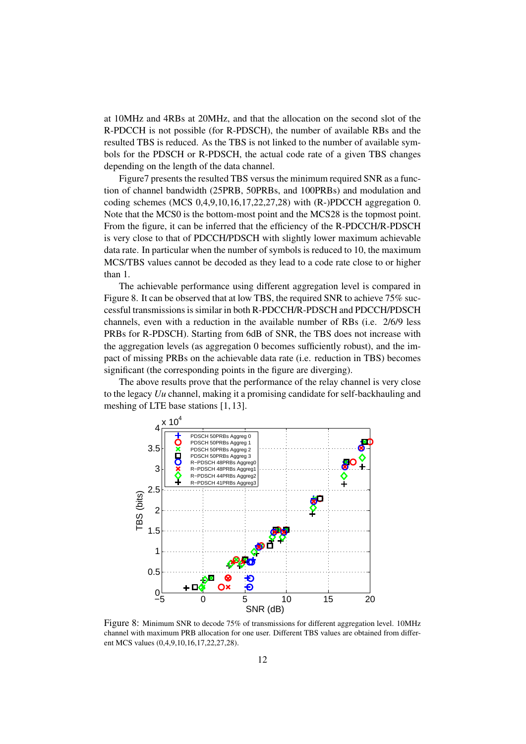at 10MHz and 4RBs at 20MHz, and that the allocation on the second slot of the R-PDCCH is not possible (for R-PDSCH), the number of available RBs and the resulted TBS is reduced. As the TBS is not linked to the number of available symbols for the PDSCH or R-PDSCH, the actual code rate of a given TBS changes depending on the length of the data channel.

Figure7 presents the resulted TBS versus the minimum required SNR as a function of channel bandwidth (25PRB, 50PRBs, and 100PRBs) and modulation and coding schemes (MCS 0,4,9,10,16,17,22,27,28) with (R-)PDCCH aggregation 0. Note that the MCS0 is the bottom-most point and the MCS28 is the topmost point. From the figure, it can be inferred that the efficiency of the R-PDCCH/R-PDSCH is very close to that of PDCCH/PDSCH with slightly lower maximum achievable data rate. In particular when the number of symbols is reduced to 10, the maximum MCS/TBS values cannot be decoded as they lead to a code rate close to or higher than 1.

The achievable performance using different aggregation level is compared in Figure 8. It can be observed that at low TBS, the required SNR to achieve 75% successful transmissions is similar in both R-PDCCH/R-PDSCH and PDCCH/PDSCH channels, even with a reduction in the available number of RBs (i.e. 2/6/9 less PRBs for R-PDSCH). Starting from 6dB of SNR, the TBS does not increase with the aggregation levels (as aggregation 0 becomes sufficiently robust), and the impact of missing PRBs on the achievable data rate (i.e. reduction in TBS) becomes significant (the corresponding points in the figure are diverging).

The above results prove that the performance of the relay channel is very close to the legacy *Uu* channel, making it a promising candidate for self-backhauling and meshing of LTE base stations [1, 13].



Figure 8: Minimum SNR to decode 75% of transmissions for different aggregation level. 10MHz channel with maximum PRB allocation for one user. Different TBS values are obtained from different MCS values (0,4,9,10,16,17,22,27,28).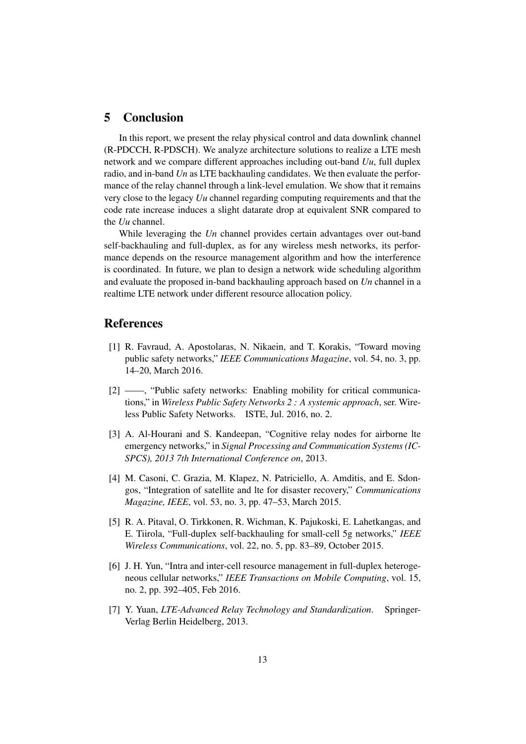### 5 Conclusion

In this report, we present the relay physical control and data downlink channel (R-PDCCH, R-PDSCH). We analyze architecture solutions to realize a LTE mesh network and we compare different approaches including out-band *Uu*, full duplex radio, and in-band *Un* as LTE backhauling candidates. We then evaluate the performance of the relay channel through a link-level emulation. We show that it remains very close to the legacy *Uu* channel regarding computing requirements and that the code rate increase induces a slight datarate drop at equivalent SNR compared to the *Uu* channel.

While leveraging the *Un* channel provides certain advantages over out-band self-backhauling and full-duplex, as for any wireless mesh networks, its performance depends on the resource management algorithm and how the interference is coordinated. In future, we plan to design a network wide scheduling algorithm and evaluate the proposed in-band backhauling approach based on *Un* channel in a realtime LTE network under different resource allocation policy.

### References

- [1] R. Favraud, A. Apostolaras, N. Nikaein, and T. Korakis, "Toward moving public safety networks," *IEEE Communications Magazine*, vol. 54, no. 3, pp. 14–20, March 2016.
- [2] ——, "Public safety networks: Enabling mobility for critical communications," in *Wireless Public Safety Networks 2 : A systemic approach*, ser. Wireless Public Safety Networks. ISTE, Jul. 2016, no. 2.
- [3] A. Al-Hourani and S. Kandeepan, "Cognitive relay nodes for airborne lte emergency networks," in *Signal Processing and Communication Systems (IC-SPCS), 2013 7th International Conference on*, 2013.
- [4] M. Casoni, C. Grazia, M. Klapez, N. Patriciello, A. Amditis, and E. Sdongos, "Integration of satellite and lte for disaster recovery," *Communications Magazine, IEEE*, vol. 53, no. 3, pp. 47–53, March 2015.
- [5] R. A. Pitaval, O. Tirkkonen, R. Wichman, K. Pajukoski, E. Lahetkangas, and E. Tiirola, "Full-duplex self-backhauling for small-cell 5g networks," *IEEE Wireless Communications*, vol. 22, no. 5, pp. 83–89, October 2015.
- [6] J. H. Yun, "Intra and inter-cell resource management in full-duplex heterogeneous cellular networks," *IEEE Transactions on Mobile Computing*, vol. 15, no. 2, pp. 392–405, Feb 2016.
- [7] Y. Yuan, *LTE-Advanced Relay Technology and Standardization*. Springer-Verlag Berlin Heidelberg, 2013.